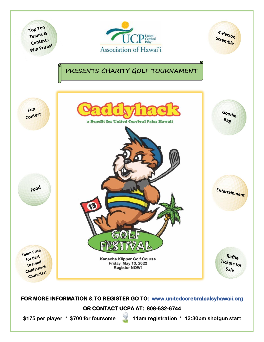

**\$175 per player \* \$700 for foursome 11am registration \* 12:30pm shotgun start**